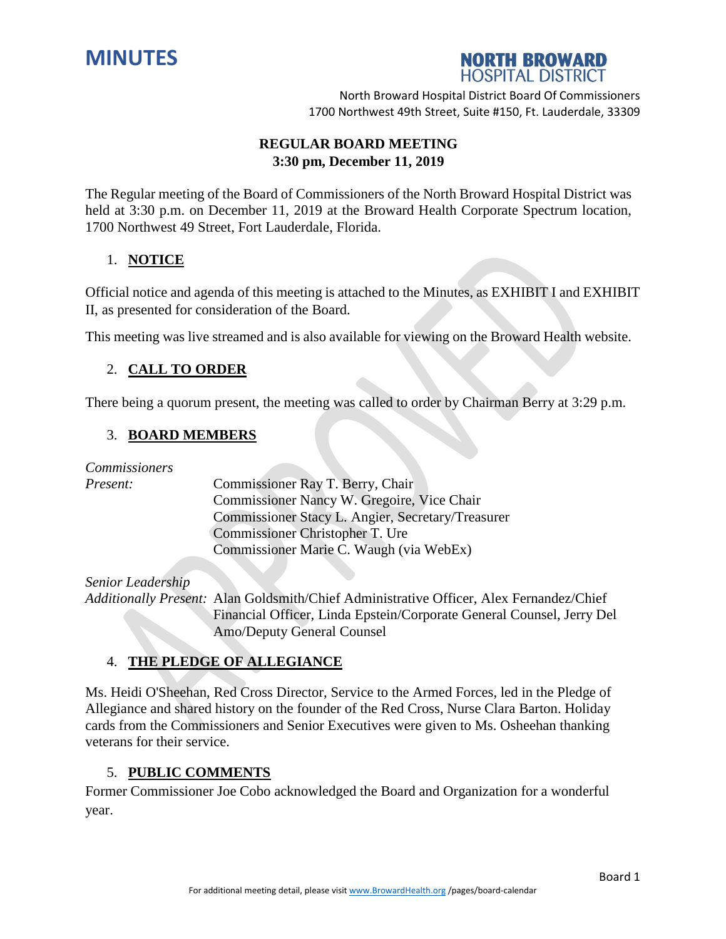



# **REGULAR BOARD MEETING 3:30 pm, December 11, 2019**

The Regular meeting of the Board of Commissioners of the North Broward Hospital District was held at 3:30 p.m. on December 11, 2019 at the Broward Health Corporate Spectrum location, 1700 Northwest 49 Street, Fort Lauderdale, Florida.

# 1. **NOTICE**

Official notice and agenda of this meeting is attached to the Minutes, as EXHIBIT I and EXHIBIT II, as presented for consideration of the Board.

This meeting was live streamed and is also available for viewing on the Broward Health website.

# 2. **CALL TO ORDER**

There being a quorum present, the meeting was called to order by Chairman Berry at 3:29 p.m.

# 3. **BOARD MEMBERS**

*Commissioners*

*Present:* Commissioner Ray T. Berry, Chair Commissioner Nancy W. Gregoire, Vice Chair Commissioner Stacy L. Angier, Secretary/Treasurer Commissioner Christopher T. Ure Commissioner Marie C. Waugh (via WebEx)

# *Senior Leadership*

*Additionally Present:* Alan Goldsmith/Chief Administrative Officer, Alex Fernandez/Chief Financial Officer, Linda Epstein/Corporate General Counsel, Jerry Del Amo/Deputy General Counsel

# 4. **THE PLEDGE OF ALLEGIANCE**

Ms. Heidi O'Sheehan, Red Cross Director, Service to the Armed Forces, led in the Pledge of Allegiance and shared history on the founder of the Red Cross, Nurse Clara Barton. Holiday cards from the Commissioners and Senior Executives were given to Ms. Osheehan thanking veterans for their service.

# 5. **PUBLIC COMMENTS**

Former Commissioner Joe Cobo acknowledged the Board and Organization for a wonderful year.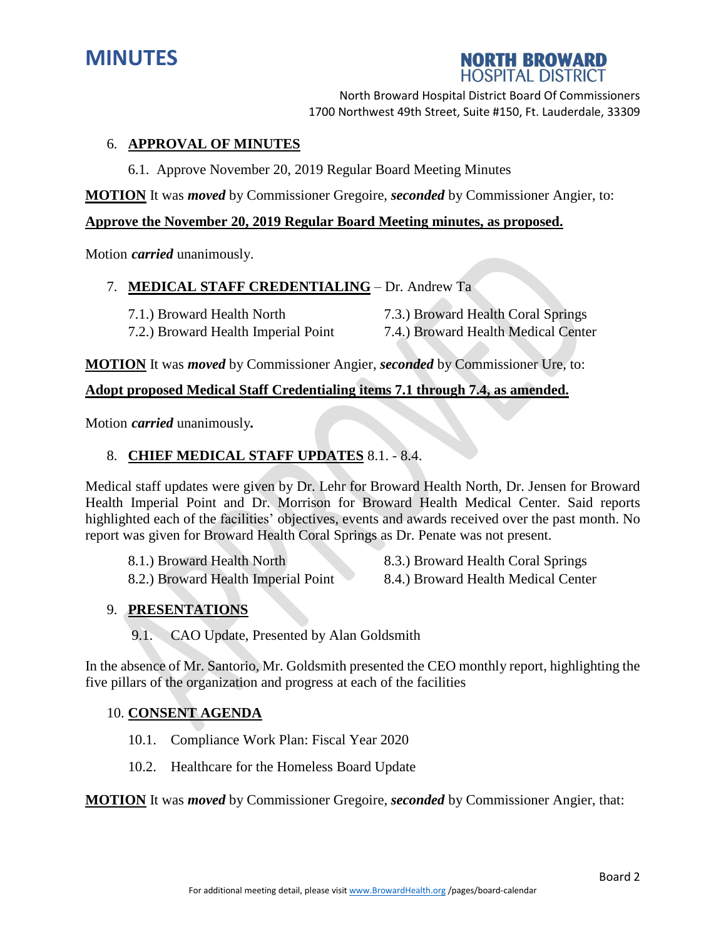



# 6. **APPROVAL OF MINUTES**

6.1. Approve November 20, 2019 Regular Board Meeting Minutes

**MOTION** It was *moved* by Commissioner Gregoire, *seconded* by Commissioner Angier, to:

### **Approve the November 20, 2019 Regular Board Meeting minutes, as proposed.**

Motion *carried* unanimously.

### 7. **MEDICAL STAFF CREDENTIALING** – Dr. Andrew Ta

7.1.) Broward Health North 7.3.) Broward Health Coral Springs 7.2.) Broward Health Imperial Point 7.4.) Broward Health Medical Center

**MOTION** It was *moved* by Commissioner Angier, *seconded* by Commissioner Ure, to:

### **Adopt proposed Medical Staff Credentialing items 7.1 through 7.4, as amended.**

Motion *carried* unanimously*.*

# 8. **CHIEF MEDICAL STAFF UPDATES** 8.1. - 8.4.

Medical staff updates were given by Dr. Lehr for Broward Health North, Dr. Jensen for Broward Health Imperial Point and Dr. Morrison for Broward Health Medical Center. Said reports highlighted each of the facilities' objectives, events and awards received over the past month. No report was given for Broward Health Coral Springs as Dr. Penate was not present.

8.1.) Broward Health North 8.3.) Broward Health Coral Springs 8.2.) Broward Health Imperial Point 8.4.) Broward Health Medical Center

# 9. **PRESENTATIONS**

9.1. CAO Update, Presented by Alan Goldsmith

In the absence of Mr. Santorio, Mr. Goldsmith presented the CEO monthly report, highlighting the five pillars of the organization and progress at each of the facilities

### 10. **CONSENT AGENDA**

- 10.1. Compliance Work Plan: Fiscal Year 2020
- 10.2. Healthcare for the Homeless Board Update

**MOTION** It was *moved* by Commissioner Gregoire, *seconded* by Commissioner Angier, that: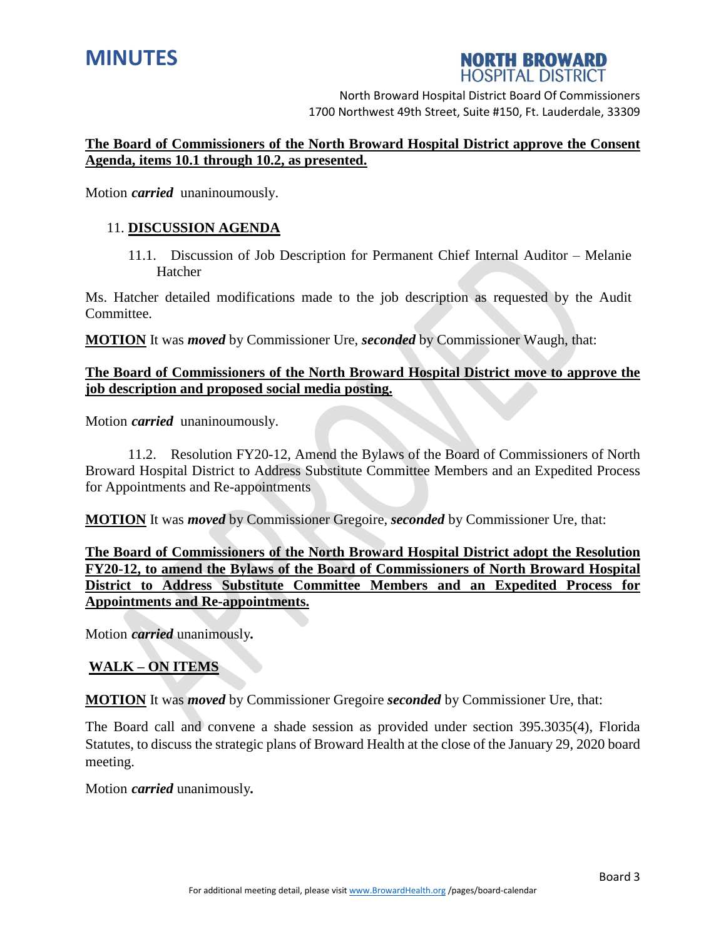

# **NORTH BROWARD HOSPITAL DISTRICT**

North Broward Hospital District Board Of Commissioners 1700 Northwest 49th Street, Suite #150, Ft. Lauderdale, 33309

# **The Board of Commissioners of the North Broward Hospital District approve the Consent Agenda, items 10.1 through 10.2, as presented.**

Motion *carried* unaninoumously.

## 11. **DISCUSSION AGENDA**

11.1. Discussion of Job Description for Permanent Chief Internal Auditor – Melanie Hatcher

Ms. Hatcher detailed modifications made to the job description as requested by the Audit Committee.

**MOTION** It was *moved* by Commissioner Ure, *seconded* by Commissioner Waugh, that:

# **The Board of Commissioners of the North Broward Hospital District move to approve the job description and proposed social media posting.**

Motion *carried* unaninoumously.

11.2. Resolution FY20-12, Amend the Bylaws of the Board of Commissioners of North Broward Hospital District to Address Substitute Committee Members and an Expedited Process for Appointments and Re-appointments

**MOTION** It was *moved* by Commissioner Gregoire, *seconded* by Commissioner Ure, that:

**The Board of Commissioners of the North Broward Hospital District adopt the Resolution FY20-12, to amend the Bylaws of the Board of Commissioners of North Broward Hospital District to Address Substitute Committee Members and an Expedited Process for Appointments and Re-appointments.** 

Motion *carried* unanimously*.*

# **WALK – ON ITEMS**

**MOTION** It was *moved* by Commissioner Gregoire *seconded* by Commissioner Ure, that:

The Board call and convene a shade session as provided under section 395.3035(4), Florida Statutes, to discuss the strategic plans of Broward Health at the close of the January 29, 2020 board meeting.

Motion *carried* unanimously*.*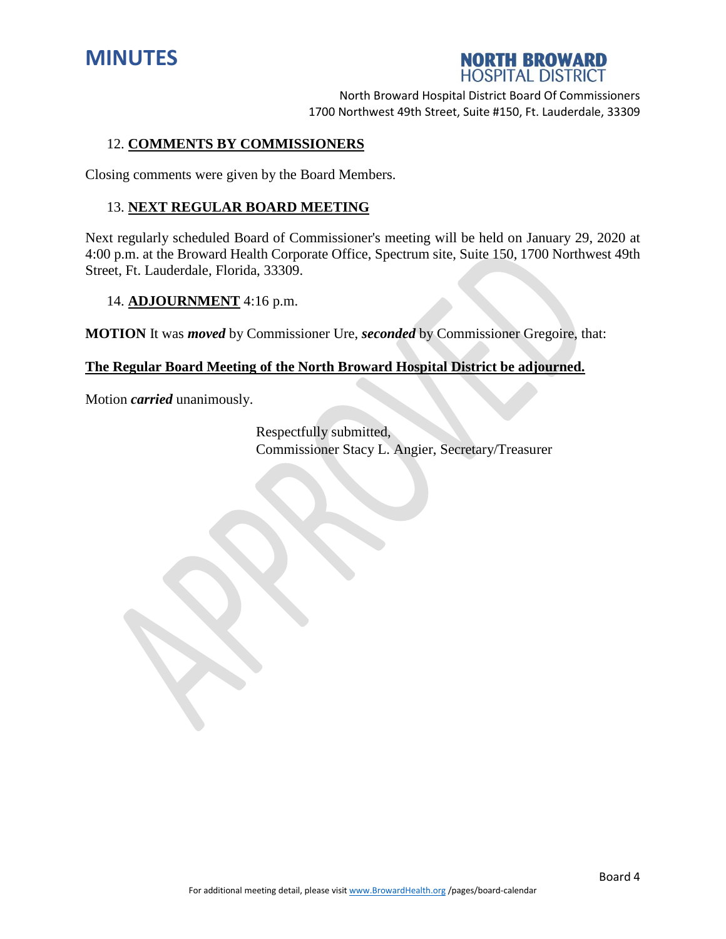



### 12. **COMMENTS BY COMMISSIONERS**

Closing comments were given by the Board Members.

#### 13. **NEXT REGULAR BOARD MEETING**

Next regularly scheduled Board of Commissioner's meeting will be held on January 29, 2020 at 4:00 p.m. at the Broward Health Corporate Office, Spectrum site, Suite 150, 1700 Northwest 49th Street, Ft. Lauderdale, Florida, 33309.

### 14. **ADJOURNMENT** 4:16 p.m.

**MOTION** It was *moved* by Commissioner Ure, *seconded* by Commissioner Gregoire, that:

### **The Regular Board Meeting of the North Broward Hospital District be adjourned.**

Motion *carried* unanimously.

Respectfully submitted, Commissioner Stacy L. Angier, Secretary/Treasurer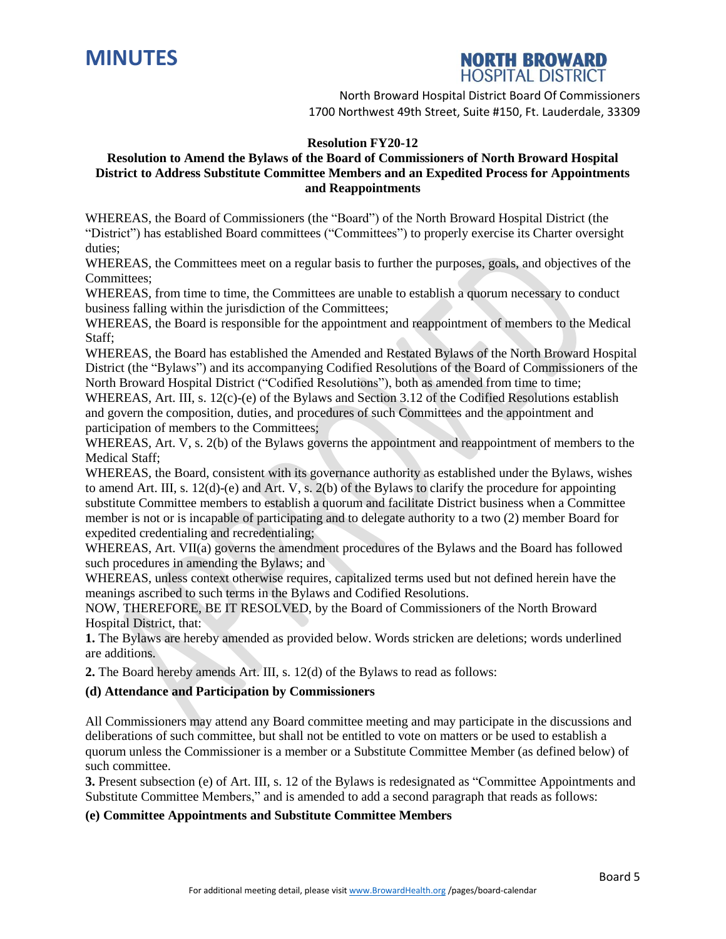



#### **Resolution FY20-12**

#### **Resolution to Amend the Bylaws of the Board of Commissioners of North Broward Hospital District to Address Substitute Committee Members and an Expedited Process for Appointments and Reappointments**

WHEREAS, the Board of Commissioners (the "Board") of the North Broward Hospital District (the "District") has established Board committees ("Committees") to properly exercise its Charter oversight duties;

WHEREAS, the Committees meet on a regular basis to further the purposes, goals, and objectives of the Committees;

WHEREAS, from time to time, the Committees are unable to establish a quorum necessary to conduct business falling within the jurisdiction of the Committees;

WHEREAS, the Board is responsible for the appointment and reappointment of members to the Medical Staff;

WHEREAS, the Board has established the Amended and Restated Bylaws of the North Broward Hospital District (the "Bylaws") and its accompanying Codified Resolutions of the Board of Commissioners of the North Broward Hospital District ("Codified Resolutions"), both as amended from time to time;

WHEREAS, Art. III, s. 12(c)-(e) of the Bylaws and Section 3.12 of the Codified Resolutions establish and govern the composition, duties, and procedures of such Committees and the appointment and participation of members to the Committees;

WHEREAS, Art. V, s. 2(b) of the Bylaws governs the appointment and reappointment of members to the Medical Staff;

WHEREAS, the Board, consistent with its governance authority as established under the Bylaws, wishes to amend Art. III, s. 12(d)-(e) and Art. V, s. 2(b) of the Bylaws to clarify the procedure for appointing substitute Committee members to establish a quorum and facilitate District business when a Committee member is not or is incapable of participating and to delegate authority to a two (2) member Board for expedited credentialing and recredentialing;

WHEREAS, Art. VII(a) governs the amendment procedures of the Bylaws and the Board has followed such procedures in amending the Bylaws; and

WHEREAS, unless context otherwise requires, capitalized terms used but not defined herein have the meanings ascribed to such terms in the Bylaws and Codified Resolutions.

NOW, THEREFORE, BE IT RESOLVED, by the Board of Commissioners of the North Broward Hospital District, that:

**1.** The Bylaws are hereby amended as provided below. Words stricken are deletions; words underlined are additions.

**2.** The Board hereby amends Art. III, s. 12(d) of the Bylaws to read as follows:

#### **(d) Attendance and Participation by Commissioners**

All Commissioners may attend any Board committee meeting and may participate in the discussions and deliberations of such committee, but shall not be entitled to vote on matters or be used to establish a quorum unless the Commissioner is a member or a Substitute Committee Member (as defined below) of such committee.

**3.** Present subsection (e) of Art. III, s. 12 of the Bylaws is redesignated as "Committee Appointments and Substitute Committee Members," and is amended to add a second paragraph that reads as follows:

#### **(e) Committee Appointments and Substitute Committee Members**